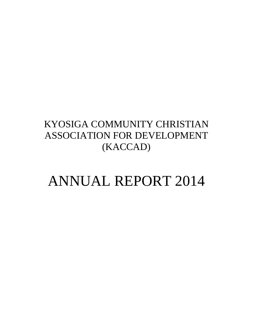## KYOSIGA COMMUNITY CHRISTIAN ASSOCIATION FOR DEVELOPMENT (KACCAD)

# ANNUAL REPORT 2014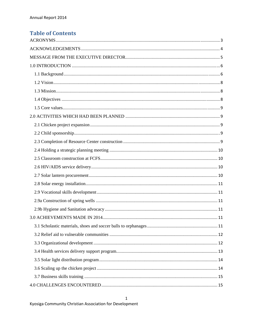### **Table of Contents**

 $\mathbf 1$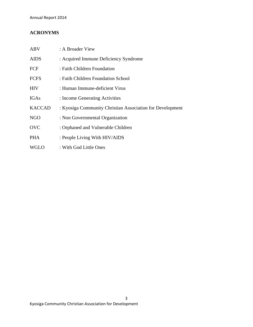#### **ACRONYMS**

| <b>ABV</b>    | : A Broader View                                          |
|---------------|-----------------------------------------------------------|
| <b>AIDS</b>   | : Acquired Immune Deficiency Syndrome                     |
| FCF           | : Faith Children Foundation                               |
| <b>FCFS</b>   | : Faith Children Foundation School                        |
| <b>HIV</b>    | : Human Immune-deficient Virus                            |
| IGAs          | : Income Generating Activities                            |
| <b>KACCAD</b> | : Kyosiga Community Christian Association for Development |
| <b>NGO</b>    | : Non Governmental Organization                           |
| <b>OVC</b>    | : Orphaned and Vulnerable Children                        |
| <b>PHA</b>    | : People Living With HIV/AIDS                             |
| <b>WGLO</b>   | : With God Little Ones                                    |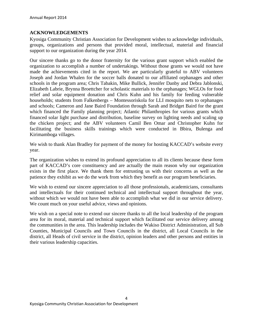#### **ACKNOWLEDGEMENTS**

Kyosiga Community Christian Association for Development wishes to acknowledge individuals, groups, organizations and persons that provided moral, intellectual, material and financial support to our organization during the year 2014.

Our sincere thanks go to the donor fraternity for the various grant support which enabled the organization to accomplish a number of undertakings. Without those grants we would not have made the achievements cited in the report. We are particularly grateful to ABV volunteers Joseph and Jordan Whalen for the soccer balls donated to our affiliated orphanages and other schools in the program area; Chris Tabakin, Mike Bullick, Jennifer Danby and Debra Jablonski, Elizabeth Labrie, Brynna Broettcher for scholastic materials to the orphanages; WGLOs for food relief and solar equipment donation and Chris Kuhn and his family for feeding vulnerable households; students from Falkenbergs – Montessoriskola for LLI mosquito nets to orphanages and schools; Cameron and Jane Baird Foundation through Sarah and Bridget Baird for the grant which financed the Family planning project; Atlantic Philanthropies for various grants which financed solar light purchase and distribution, baseline survey on lighting needs and scaling up the chicken project; and the ABV volunteers Camil Ben Omar and Christopher Kuhn for facilitating the business skills trainings which were conducted in Bbira, Bulenga and Kirimamboga villages.

We wish to thank Alan Bradley for payment of the money for hosting KACCAD's website every year.

The organization wishes to extend its profound appreciation to all its clients because these form part of KACCAD's core constituency and are actually the main reason why our organization exists in the first place. We thank them for entrusting us with their concerns as well as the patience they exhibit as we do the work from which they benefit as our program beneficiaries.

We wish to extend our sincere appreciation to all those professionals, academicians, consultants and intellectuals for their continued technical and intellectual support throughout the year, without which we would not have been able to accomplish what we did in our service delivery. We count much on your useful advice, views and opinions.

We wish on a special note to extend our sincere thanks to all the local leadership of the program area for its moral, material and technical support which facilitated our service delivery among the communities in the area. This leadership includes the Wakiso District Administration, all Sub Counties, Municipal Councils and Town Councils in the district, all Local Councils in the district, all Heads of civil service in the district, opinion leaders and other persons and entities in their various leadership capacities.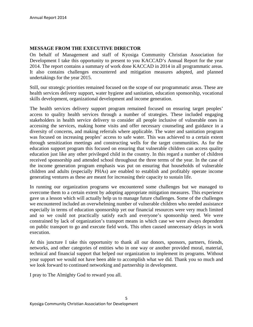#### **MESSAGE FROM THE EXECUTIVE DIRECTOR**

On behalf of Management and staff of Kyosiga Community Christian Association for Development I take this opportunity to present to you KACCAD's Annual Report for the year 2014. The report contains a summary of work done KACCAD in 2014 in all programmatic areas. It also contains challenges encountered and mitigation measures adopted, and planned undertakings for the year 2015.

Still, our strategic priorities remained focused on the scope of our programmatic areas. These are health services delivery support, water hygiene and sanitation, education sponsorship, vocational skills development, organizational development and income generation.

The health services delivery support program remained focused on ensuring target peoples' access to quality health services through a number of strategies. These included engaging stakeholders in health service delivery to consider all people inclusive of vulnerable ones in accessing the services, making home visits and offer necessary counseling and guidance in a diversity of concerns, and making referrals where applicable. The water and sanitation program was focused on increasing peoples' access to safe water. This was achieved to a certain extent through sensitization meetings and constructing wells for the target communities. As for the education support program this focused on ensuring that vulnerable children can access quality education just like any other privileged child in the country. In this regard a number of children received sponsorship and attended school throughout the three terms of the year. In the case of the income generation program emphasis was put on ensuring that households of vulnerable children and adults (especially PHAs) are enabled to establish and profitably operate income generating ventures as these are meant for increasing their capacity to sustain life.

In running our organization programs we encountered some challenges but we managed to overcome them to a certain extent by adopting appropriate mitigation measures. This experience gave us a lesson which will actually help us to manage future challenges. Some of the challenges we encountered included an overwhelming number of vulnerable children who needed assistance especially in terms of education sponsorship yet our financial resources were very much limited and so we could not practically satisfy each and everyone's sponsorship need. We were constrained by lack of organization's transport means in which case we were always dependent on public transport to go and execute field work. This often caused unnecessary delays in work execution.

At this juncture I take this opportunity to thank all our donors, sponsors, partners, friends, networks, and other categories of entities who in one way or another provided moral, material, technical and financial support that helped our organization to implement its programs. Without your support we would not have been able to accomplish what we did. Thank you so much and we look forward to continued networking and partnership in development.

I pray to The Almighty God to reward you all.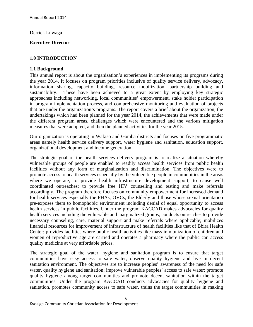Derrick Luwaga

#### **Executive Director**

#### **1.0 INTRODUCTION**

#### **1.1 Background**

This annual report is about the organization's experiences in implementing its programs during the year 2014. It focuses on program priorities inclusive of quality service delivery, advocacy, information sharing, capacity building, resource mobilization, partnership building and sustainability. These have been achieved to a great extent by employing key strategic approaches including networking, local communities' empowerment, stake holder participation in program implementation process, and comprehensive monitoring and evaluation of projects that are under the organization's programs. The report covers a brief about the organization, the undertakings which had been planned for the year 2014, the achievements that were made under the different program areas, challenges which were encountered and the various mitigation measures that were adopted, and then the planned activities for the year 2015.

Our organization is operating in Wakiso and Gomba districts and focuses on five programmatic areas namely health service delivery support, water hygiene and sanitation, education support, organizational development and income generation.

The strategic goal of the health services delivery program is to realize a situation whereby vulnerable groups of people are enabled to readily access health services from public health facilities without any form of marginalization and discrimination. The objectives were to promote access to health services especially by the vulnerable people in communities in the areas where we operate; to provide health infrastructure development support; to cause well coordinated outreaches; to provide free HIV counseling and testing and make referrals accordingly. The program therefore focuses on community empowerment for increased demand for health services especially the PHAs, OVCs, the Elderly and those whose sexual orientation pre-exposes them to homophobic environment including denial of equal opportunity to access health services in public facilities. Under the program KACCAD makes advocacies for quality health services including the vulnerable and marginalized groups; conducts outreaches to provide necessary counseling, care, material support and make referrals where applicable; mobilizes financial resources for improvement of infrastructure of health facilities like that of Bbira Health Center; provides facilities where public health activities like mass immunization of children and women of reproductive age are carried and operates a pharmacy where the public can access quality medicine at very affordable prices.

The strategic goal of the water, hygiene and sanitation program is to ensure that target communities have easy access to safe water, observe quality hygiene and live in decent sanitation environment. The objectives are to increase peoples' awareness of the need for safe water, quality hygiene and sanitation; improve vulnerable peoples' access to safe water; promote quality hygiene among target communities and promote decent sanitation within the target communities. Under the program KACCAD conducts advocacies for quality hygiene and sanitation, promotes community access to safe water, trains the target communities in making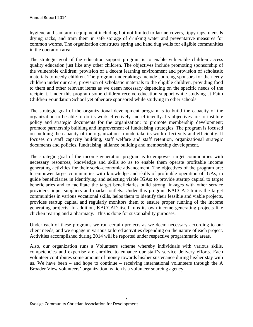hygiene and sanitation equipment including but not limited to latrine covers, tippy taps, utensils drying racks, and train them in safe storage of drinking water and preventative measures for common worms. The organization constructs spring and hand dug wells for eligible communities in the operation area.

The strategic goal of the education support program is to enable vulnerable children access quality education just like any other children. The objectives include promoting sponsorship of the vulnerable children; provision of a decent learning environment and provision of scholastic materials to needy children. The program undertakings include sourcing sponsors for the needy children under our care, provision of scholastic materials to the eligible children, providing food to them and other relevant items as we deem necessary depending on the specific needs of the recipient. Under this program some children receive education support while studying at Faith Children Foundation School yet other are sponsored while studying in other schools.

The strategic goal of the organizational development program is to build the capacity of the organization to be able to do its work effectively and efficiently. Its objectives are to institute policy and strategic documents for the organization; to promote membership development; promote partnership building and improvement of fundraising strategies. The program is focused on building the capacity of the organization to undertake its work effectively and efficiently. It focuses on staff capacity building, staff welfare and staff retention, organizational strategic documents and policies, fundraising, alliance building and membership development.

The strategic goal of the income generation program is to empower target communities with necessary resources, knowledge and skills so as to enable them operate profitable income generating activities for their socio-economic advancement. The objectives of the program are: to empower target communities with knowledge and skills of profitable operation of IGAs; to guide beneficiaries in identifying and selecting viable IGAs; to provide startup capital to target beneficiaries and to facilitate the target beneficiaries build strong linkages with other service providers, input suppliers and market outlets. Under this program KACCAD trains the target communities in various vocational skills, helps them to identify their feasible and viable projects, provides startup capital and regularly monitors them to ensure proper running of the income generating projects. In addition, KACCAD itself runs its own income generating projects like chicken rearing and a pharmacy. This is done for sustainability purposes.

Under each of these programs we run certain projects as we deem necessary according to our client needs, and we engage in various tailored activities depending on the nature of each project. Activities accomplished during 2014 will be reported under respective programmatic areas.

Also, our organization runs a Volunteers scheme whereby individuals with various skills, competencies and expertise are enrolled to enhance our staff's service delivery efforts. Each volunteer contributes some amount of money towards his/her sustenance during his/her stay with us. We have been – and hope to continue – receiving international volunteers through the A Broader View volunteers' organization, which is a volunteer sourcing agency.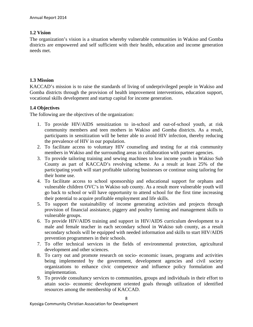#### **1.2 Vision**

The organization's vision is a situation whereby vulnerable communities in Wakiso and Gomba districts are empowered and self sufficient with their health, education and income generation needs met.

#### **1.3 Mission**

KACCAD's mission is to raise the standards of living of underprivileged people in Wakiso and Gomba districts through the provision of health improvement interventions, education support, vocational skills development and startup capital for income generation.

#### **1.4 Objectives**

The following are the objectives of the organization:

- 1. To provide HIV/AIDS sensitization to in-school and out-of-school youth, at risk community members and teen mothers in Wakiso and Gomba districts. As a result, participants in sensitization will be better able to avoid HIV infection, thereby reducing the prevalence of HIV in our population.
- 2. To facilitate access to voluntary HIV counseling and testing for at risk community members in Wakiso and the surrounding areas in collaboration with partner agencies.
- 3. To provide tailoring training and sewing machines to low income youth in Wakiso Sub County as part of KACCAD's revolving scheme. As a result at least 25% of the participating youth will start profitable tailoring businesses or continue using tailoring for their home use.
- 4. To facilitate access to school sponsorship and educational support for orphans and vulnerable children OVC's in Wakiso sub county. As a result more vulnerable youth will go back to school or will have opportunity to attend school for the first time increasing their potential to acquire profitable employment and life skills.
- 5. To support the sustainability of income generating activities and projects through provision of financial assistance, piggery and poultry farming and management skills to vulnerable groups.
- 6. To provide HIV/AIDS training and support in HIV/AIDS curriculum development to a male and female teacher in each secondary school in Wakiso sub county, as a result secondary schools will be equipped with needed information and skills to start HIV/AIDS prevention programmers in their schools.
- 7. To offer technical services in the fields of environmental protection, agricultural development and other sciences.
- 8. To carry out and promote research on socio- economic issues, programs and activities being implemented by the government, development agencies and civil society organizations to enhance civic competence and influence policy formulation and implementation.
- 9. To provide consultancy services to communities, groups and individuals in their effort to attain socio- economic development oriented goals through utilization of identified resources among the membership of KACCAD.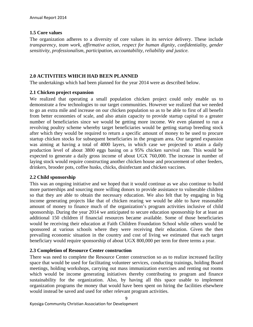#### **1.5 Core values**

The organization adheres to a diversity of core values in its service delivery. These include *transparency, team work, affirmative action, respect for human dignity, confidentiality, gender sensitivity, professionalism, participation, accountability, reliability and justice.*

#### **2.0 ACTIVITIES WHICH HAD BEEN PLANNED**

The undertakings which had been planned for the year 2014 were as described below.

#### **2.1 Chicken project expansion**

We realized that operating a small population chicken project could only enable us to demonstrate a few technologies to our target communities. However we realized that we needed to go an extra mile and increase on our chicken population so as to be able to first of all benefit from better economies of scale, and also attain capacity to provide startup capital to a greater number of beneficiaries since we would be getting more income. We even planned to run a revolving poultry scheme whereby target beneficiaries would be getting startup breeding stock after which they would be required to return a specific amount of money to be used to procure startup chicken stocks for subsequent beneficiaries in the program area. Our targeted expansion was aiming at having a total of 4000 layers, in which case we projected to attain a daily production level of about 3800 eggs basing on a 95% chicken survival rate. This would be expected to generate a daily gross income of about UGX 760,000. The increase in number of laying stock would require constructing another chicken house and procurement of other feeders, drinkers, brooder pots, coffee husks, chicks, disinfectant and chicken vaccines.

#### **2.2 Child sponsorship**

This was an ongoing initiative and we hoped that it would continue as we also continue to build more partnerships and sourcing more willing donors to provide assistance to vulnerable children so that they are able to obtain the necessary education. We also felt that by engaging in big income generating projects like that of chicken rearing we would be able to have reasonable amount of money to finance much of the organization's program activities inclusive of child sponsorship. During the year 2014 we anticipated to secure education sponsorship for at least an additional 150 children if financial resources became available. Some of those beneficiaries would be receiving their education at Faith Children Foundation School while others would be sponsored at various schools where they were receiving their education. Given the then prevailing economic situation in the country and cost of living we estimated that each target beneficiary would require sponsorship of about UGX 800,000 per term for three terms a year.

#### **2.3 Completion of Resource Center construction**

There was need to complete the Resource Center construction so as to realize increased facility space that would be used for facilitating volunteer services, conducting trainings, holding Board meetings, holding workshops, carrying out mass immunization exercises and renting out rooms which would be income generating initiatives thereby contributing to program and finance sustainability for the organization. Also, by having all this space usable to implement organization programs the money that would have been spent on hiring the facilities elsewhere would instead be saved and used for other relevant program activities.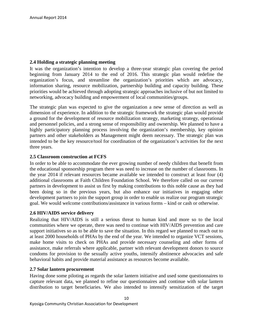#### **2.4 Holding a strategic planning meeting**

It was the organization's intention to develop a three-year strategic plan covering the period beginning from January 2014 to the end of 2016. This strategic plan would redefine the organization's focus, and streamline the organization's priorities which are advocacy, information sharing, resource mobilization, partnership building and capacity building. These priorities would be achieved through adopting strategic approaches inclusive of but not limited to networking, advocacy building and empowerment of local communities/groups.

The strategic plan was expected to give the organization a new sense of direction as well as dimension of experience. In addition to the strategic framework the strategic plan would provide a ground for the development of resource mobilization strategy, marketing strategy, operational and personnel policies, and a strong sense of responsibility and ownership. We planned to have a highly participatory planning process involving the organization's membership, key opinion partners and other stakeholders as Management might deem necessary. The strategic plan was intended to be the key resource/tool for coordination of the organization's activities for the next three years.

#### **2.5 Classroom construction at FCFS**

In order to be able to accommodate the ever growing number of needy children that benefit from the educational sponsorship program there was need to increase on the number of classrooms. In the year 2014 if relevant resources became available we intended to construct at least four (4) additional classrooms at Faith Children Foundation School. We therefore called on our current partners in development to assist us first by making contributions to this noble cause as they had been doing so in the previous years, but also enhance our initiatives in engaging other development partners to join the support group in order to enable us realize our program strategic goal. We would welcome contributions/assistance in various forms – kind or cash or otherwise.

#### **2.6 HIV/AIDS service delivery**

Realizing that HIV/AIDS is still a serious threat to human kind and more so to the local communities where we operate, there was need to continue with HIV/AIDS prevention and care support initiatives so as to be able to save the situation. In this regard we planned to reach out to at least 2000 households of PHAs by the end of the year. We intended to organize VCT sessions, make home visits to check on PHAs and provide necessary counseling and other forms of assistance, make referrals where applicable, partner with relevant development donors to source condoms for provision to the sexually active youths, intensify abstinence advocacies and safe behavioral habits and provide material assistance as resources become available.

#### **2.7 Solar lantern procurement**

Having done some piloting as regards the solar lantern initiative and used some questionnaires to capture relevant data, we planned to refine our questionnaires and continue with solar lantern distribution to target beneficiaries. We also intended to intensify sensitization of the target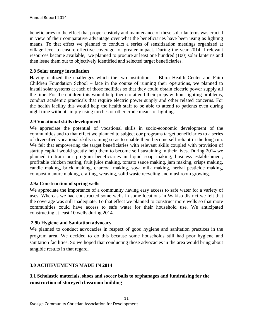beneficiaries to the effect that proper custody and maintenance of these solar lanterns was crucial in view of their comparative advantage over what the beneficiaries have been using as lighting means. To that effect we planned to conduct a series of sensitization meetings organized at village level to ensure effective coverage for greater impact. During the year 2014 if relevant resources became available, we planned to procure at least one hundred (100) solar lanterns and then issue them out to objectively identified and selected target beneficiaries.

#### **2.8 Solar energy installation**

Having realized the challenges which the two institutions – Bbira Health Center and Faith Children Foundation School – face in the course of running their operations, we planned to install solar systems at each of those facilities so that they could obtain electric power supply all the time. For the children this would help them to attend their preps without lighting problems, conduct academic practicals that require electric power supply and other related concerns. For the health facility this would help the health staff to be able to attend to patients even during night time without simply using torches or other crude means of lighting.

#### **2.9 Vocational skills development**

We appreciate the potential of vocational skills in socio-economic development of the communities and to that effect we planned to subject our programs target beneficiaries to a series of diversified vocational skills training so as to enable them become self reliant in the long run. We felt that empowering the target beneficiaries with relevant skills coupled with provision of startup capital would greatly help them to become self sustaining in their lives. During 2014 we planned to train our program beneficiaries in liquid soap making, business establishment, profitable chicken rearing, fruit juice making, tomato sauce making, jam making, crisps making, candle making, brick making, charcoal making, soya milk making, herbal pesticide making, compost manure making, crafting, weaving, solid waste recycling and mushroom growing.

#### **2.9a Construction of spring wells**

We appreciate the importance of a community having easy access to safe water for a variety of uses. Whereas we had constructed some wells in some locations in Wakiso district we felt that the coverage was still inadequate. To that effect we planned to construct more wells so that more communities could have access to safe water for their household use. We anticipated constructing at least 10 wells during 2014.

#### **2.9b Hygiene and Sanitation advocacy**

We planned to conduct advocacies in respect of good hygiene and sanitation practices in the program area. We decided to do this because some households still had poor hygiene and sanitation facilities. So we hoped that conducting those advocacies in the area would bring about tangible results in that regard.

#### **3.0 ACHIEVEMENTS MADE IN 2014**

#### **3.1 Scholastic materials, shoes and soccer balls to orphanages and fundraising for the construction of storeyed classroom building**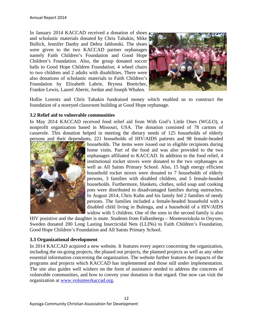In January 2014 KACCAD received a donation of shoes and scholastic materials donated by Chris Tabakin, Mike Bullick, Jennifer Danby and Debra Jablonski. The shoes were given to the two KACCAD partner orphanages namely Faith Children's Foundation and Good Hope Children's Foundation. Also, the group donated soccer balls to Good Hope Children Foundation; 4 wheel chairs to two children and 2 adults with disabilities. There were also donations of scholastic materials to Faith Children's Foundation by Elizabeth Labrie, Brynna Boettcher, Frankie Lewis, Laurel Aberie, Jordan and Joseph Whalen.



Hollie Lorentz and Chris Tabakin fundraised money which enabled us to construct the foundation of a storeyed classroom building at Good Hope orphanage.

#### **3.2 Relief aid to vulnerable communities**

In May 2014 KACCAD received food relief aid from With God's Little Ones (WGLO), a nonprofit organization based in Missouri, USA. The donation consisted of 78 cartons of casserole. This donation helped in meeting the dietary needs of 125 households of elderly persons and their dependants, 221 households of HIV/AIDS patients and 98 female-headed



households. The items were issued out to eligible recipients during home visits. Part of the food aid was also provided to the two orphanages affiliated to KACCAD. In addition to the food relief, 4 institutional rocket stoves were donated to the two orphanages as well as All Saints Primary School. Also, 15 high energy efficient household rocket stoves were donated to 7 households of elderly persons, 3 families with disabled children, and 5 female-headed households. Furthermore, blankets, clothes, solid soap and cooking pots were distributed to disadvantaged families during outreaches. In August 2014, Chris Kuhn and his family fed 2 families of needy persons. The families included a female-headed household with a disabled child living in Bulenga, and a household of a HIV/AIDS widow with 5 children. One of the sons in the second family is also

HIV posistive and the daughter is mute. Students from Falkenbergs – Montessriskola in Onyxen, Sweden donated 200 Long Lasting Insecticidal Nets (LLINs) to Faith Children's Foundation, Good Hope Children's Foundation and All Saints Primary School.

#### **3.3 Organizational development**

In 2014 KACCAD acquired a new website. It features every aspect concerning the organization, including the on-going projects, the phased out projects, the planned projects as well as any other essential information concerning the organization. The website further features the impacts of the programs and projects which KACCAD has implemented and those still under implementation. The site also guides well wishers on the form of assistance needed to address the concerns of vulnerable communities, and how to convey your donation in that regard. One now can visit the organization at www.volunteerkaccad.org.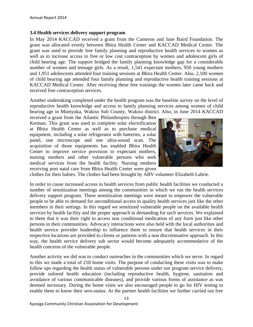#### **3.4 Health services delivery support program**

In May 2014 KACCAD received a grant from the Cameron and Jane Baird Foundation. The grant was allocated evenly between Bbira Health Center and KACCAD Medical Center. The grant was used to provide free family planning and reproductive health services to women as well as to increase access to free or low cost contraception by women and adolescent girls of child bearing age. The support bridged the family planning knowledge gap for a considerable number of women and teenage girls. As a result, 1,541 expectant mothers, 950 young mothers and 1,951 adolescents attended four training sessions at Bbira Health Center. Also, 2,100 women of child bearing age attended four family planning and reproductive health training sessions at KACCAD Medical Center. After receiving these free trainings the women later came back and received free contraception services.

Another undertaking completed under the health program was the baseline survey on the level of reproductive health knowledge and access to family planning services among women of child bearing age in Mumyuka, Wakiso Sub County, Wakiso district. Also, in June 2014 KACCAD

received a grant from the Atlantic Philanthropies through Ben Kerman. This grant was used to complete solar electrification at Bbira Health Center as well as to purchase medical equipment, including a solar refrigerator with batteries, a solar panel, one microscope and one ultra-sound scan. The acquisition of those equipments has enabled Bbira Health Center to improve service provision to expectant mothers, nursing mothers and other vulnerable persons who seek medical services from the health facility. Nursing mothers receiving post natal care from Bbira Health Center were given



clothes for their babies. The clothes had been brought by ABV volunteer Elizabeth Labrie.

In order to cause increased access to health services from public health facilities we conducted a number of sensitization meetings among the communities in which we run the health services delivery support program. These sensitization meetings were meant to empower the vulnerable people to be able to demand for unconditional access to quality health services just like the other members in their settings. In this regard we sensitized vulnerable people on the available health services by health facility and the proper approach in demanding for such services. We explained to them that it was their right to access non conditional medication of any form just like other persons in their communities. Advocacy interactions were also held with the local authorities and health service provider leadership to influence them to ensure that health services in their respective locations are provided to clients or patients with a non discriminative approach. In this way, the health service delivery sub sector would become adequately accommodative of the health concerns of the vulnerable people.

Another activity we did was to conduct outreaches in the communities which we serve. In regard to this we made a total of 218 home visits. The purpose of conducting these visits was to make follow ups regarding the health status of vulnerable persons under our program service delivery, provide tailored health education (including reproductive health, hygiene, sanitation and avoidance of various communicable diseases), and provide various forms of assistance as was deemed necessary. During the home visits we also encouraged people to go for HIV testing to enable them to know their sero-status. At the partner health facilities we further carried out free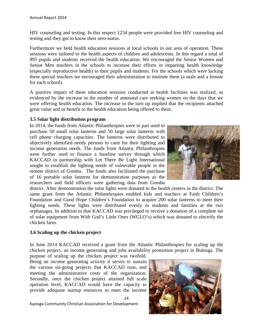HIV counseling and testing. In this respect 1234 people were provided free HIV counseling and testing and they got to know their sero-status.

Furthermore we held health education sessions at local schools in our area of operation. These sessions were tailored to the health aspects of children and adolescents. In this regard a total of 895 pupils and students received the health education. We encouraged the Senior Women and Senior Men teachers in the schools to increase their efforts in imparting health knowledge (especially reproductive health) to their pupils and students. For the schools which were lacking these special teachers we encouraged their administration to institute them (a male and a female for each school).

A positive impact of these education sessions conducted at health facilities was realized, as evidenced by the increase in the number of antenatal care seeking women on the days that we were offering health education. The increase in the turn up implied that the recipients attached great value and or benefit to the health education being offered to them.

#### **3.5 Solar light distribution program**

In 2014, the funds from Atlantic Philanthropies were in part used to purchase 50 small solar lanterns and 50 large solar lanterns with cell phone charging capacities. The lanterns were distributed to objectively identified needy persons to cater for their lighting and income generation needs. The funds from Atlantic Philanthropies were further used to finance a baseline survey through which KACCAD in partnership with Let There Be Light International sought to establish the lighting needs of vulnerable people in the remote district of Gomba. The funds also facilitated the purchase of 16 portable solar lanterns for demonstration purposes as the researchers and field officers were gathering data from Gomba



district. After demonstration the solar lights were donated to the health centers in the district. The same grant from the Atlantic Philanthropies enabled kids and teachers at Faith Children's Foundation and Good Hope Children's Foundation to acquire 200 solar lanterns to meet their lighting needs. These lights were distributed evenly to students and families at the two orphanages. In addition to that KACCAD was privileged to receive a donation of a complete set of solar equipment from With God's Little Ones (WGLO's) which was donated to electrify the chicken farm.

#### **3.6 Scaling up the chicken project**

In June 2014 KACCAD received a grant from the Atlantic Philanthropies for scaling up the chicken project, an income generating and jobs availability promotion project in Bulenga. The purpose of scaling up the chicken project was twofold.

14

Being an income generating activity it serves to sustain the various on-going projects that KACCAD runs, and meeting the administrative costs of the organization. Secondly, once the chicken project attained full scale operation level, KACCAD would have the capacity to provide adequate startup resources to meet the income



Kyosiga Community Christian Association for Development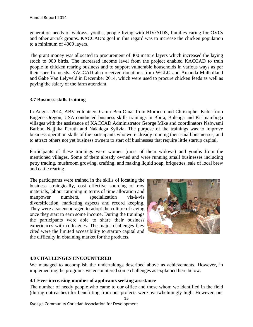generation needs of widows, youths, people living with HIV/AIDS, families caring for OVCs and other at-risk groups. KACCAD's goal in this regard was to increase the chicken population to a minimum of 4000 layers.

The grant money was allocated to procurement of 400 mature layers which increased the laying stock to 900 birds. The increased income level from the project enabled KACCAD to train people in chicken rearing business and to support vulnerable households in various ways as per their specific needs. KACCAD also received donations from WGLO and Amanda Mulholland and Gabe Van Lelyveld in December 2014, which were used to procure chicken feeds as well as paying the salary of the farm attendant.

#### **3.7 Business skills training**

In August 2014, ABV volunteers Camir Ben Omar from Morocco and Christopher Kuhn from Eugene Oregon, USA conducted business skills trainings in Bbira, Bulenga and Kirimamboga villages with the assistance of KACCAD Administrator George Mike and coordinators Nabwami Barbra, Najjuka Peruth and Nakalega Sylivia. The purpose of the trainings was to improve business operation skills of the participants who were already running their small businesses, and to attract others not yet business owners to start off businesses that require little startup capital.

Participants of these trainings were women (most of them widows) and youths from the mentioned villages. Some of them already owned and were running small businesses including petty trading, mushroom growing, crafting, and making liquid soap, briquettes, sale of local brew and cattle rearing.

The participants were trained in the skills of locating the business strategically, cost effective sourcing of raw materials, labour rationing in terms of time allocation and manpower numbers, specialization vis-à-vis diversification, marketing aspects and record keeping. They were also encouraged to adopt the culture of saving once they start to earn some income. During the trainings the participants were able to share their business experiences with colleagues. The major challenges they cited were the limited accessibility to startup capital and the difficulty in obtaining market for the products.



#### **4.0 CHALLENGES ENCOUNTERED**

We managed to accomplish the undertakings described above as achievements. However, in implementing the programs we encountered some challenges as explained here below.

#### **4.1 Ever increasing number of applicants seeking assistance**

15 The number of needy people who came to our office and those whom we identified in the field (during outreaches) for benefitting from our projects were overwhelmingly high. However, our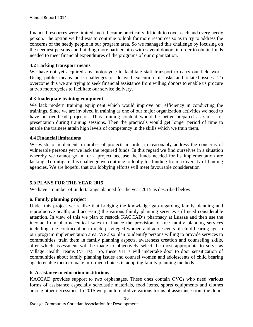financial resources were limited and it became practically difficult to cover each and every needy person. The option we had was to continue to look for more resources so as to try to address the concerns of the needy people in our program area. So we managed this challenge by focusing on the neediest persons and building more partnerships with several donors in order to obtain funds needed to meet financial expenditures of the programs of our organization.

#### **4.2 Lacking transport means**

We have not yet acquired any motorcycle to facilitate staff transport to carry out field work. Using public means pose challenges of delayed execution of tasks and related issues. To overcome this we are trying to seek financial assistance from willing donors to enable us procure at two motorcycles to facilitate our service delivery.

#### **4.3 Inadequate training equipment**

We lack modern training equipment which would improve our efficiency in conducting the trainings. Since we are involved in training as one of our major organization activities we need to have an overhead projector. Thus training content would be better prepared as slides for presentation during training sessions. Then the practicals would get longer period of time to enable the trainees attain high levels of competency in the skills which we train them.

#### **4.4 Financial limitations**

We wish to implement a number of projects in order to reasonably address the concerns of vulnerable persons yet we lack the required funds. In this regard we find ourselves in a situation whereby we cannot go in for a project because the funds needed for its implementation are lacking. To mitigate this challenge we continue to lobby for funding from a diversity of funding agencies. We are hopeful that our lobbying efforts will meet favourable consideration

#### **5.0 PLANS FOR THE YEAR 2015**

We have a number of undertakings planned for the year 2015 as described below.

#### **a. Family planning project**

Under this project we realize that bridging the knowledge gap regarding family planning and reproductive health; and accessing the various family planning services still need considerable attention. In view of this we plan to restock KACCAD's pharmacy at Lusaze and then use the income from pharmaceutical sales to finance the provision of free family planning services including free contraception to underprivileged women and adolescents of child bearing age in our program implementation area. We also plan to identify persons willing to provide services to communities, train them in family planning aspects, awareness creation and counseling skills, after which assessment will be made to objectively select the most appropriate to serve as Village Health Teams (VHTs). So, these VHTs will undertake door to door sensitization of communities about family planning issues and counsel women and adolescents of child bearing age to enable them to make informed choices in adopting family planning methods.

#### **b. Assistance to education institutions**

KACCAD provides support to two orphanages. These ones contain OVCs who need various forms of assistance especially scholastic materials, food items, sports equipments and clothes among other necessities. In 2015 we plan to mobilize various forms of assistance from the donor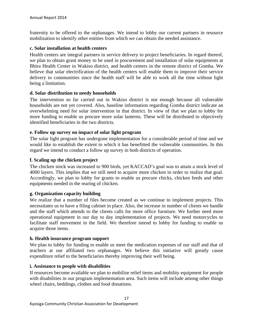fraternity to be offered to the orphanages. We intend to lobby our current partners in resource mobilization to identify other entities from which we can obtain the needed assistance.

#### **c. Solar installation at health centers**

Health centers are integral partners in service delivery to project beneficiaries. In regard thereof, we plan to obtain grant money to be used in procurement and installation of solar equipments at Bbira Health Center in Wakiso district, and health centers in the remote district of Gomba. We believe that solar electrification of the health centers will enable them to improve their service delivery to communities since the health staff will be able to work all the time without light being a limitation.

#### **d. Solar distribution to needy households**

The intervention so far carried out in Wakiso district is not enough because all vulnerable households are not yet covered. Also, baseline information regarding Gomba district indicate an overwhelming need for solar intervention in that district. In view of that we plan to lobby for more funding to enable us procure more solar lanterns. These will be distributed to objectively identified beneficiaries in the two districts.

#### **e. Follow up survey on impact of solar light program**

The solar light program has undergone implementation for a considerable period of time and we would like to establish the extent to which it has benefitted the vulnerable communities. In this regard we intend to conduct a follow up survey in both districts of operation.

#### **f. Scaling up the chicken project**

The chicken stock was increased to 900 birds, yet KACCAD's goal was to attain a stock level of 4000 layers. This implies that we still need to acquire more chicken in order to realize that goal. Accordingly, we plan to lobby for grants to enable us procure chicks, chicken feeds and other equipments needed in the rearing of chicken.

#### **g. Organization capacity building**

We realize that a number of files become created as we continue to implement projects. This necessitates us to have a filing cabinet in place. Also, the increase in number of clients we handle and the staff which attends to the clients calls for more office furniture. We further need more operational equipment in our day to day implementation of projects. We need motorcycles to facilitate staff movement in the field. We therefore intend to lobby for funding to enable us acquire those items.

#### **h. Health insurance program support**

We plan to lobby for funding to enable us meet the medication expenses of our staff and that of teachers at our affiliated two orphanages. We believe this initiative will greatly cause expenditure relief to the beneficiaries thereby improving their well being.

#### **i. Assistance to people with disabilities**

If resources become available we plan to mobilize relief items and mobility equipment for people with disabilities in our program implementation area. Such items will include among other things wheel chairs, beddings, clothes and food donations.